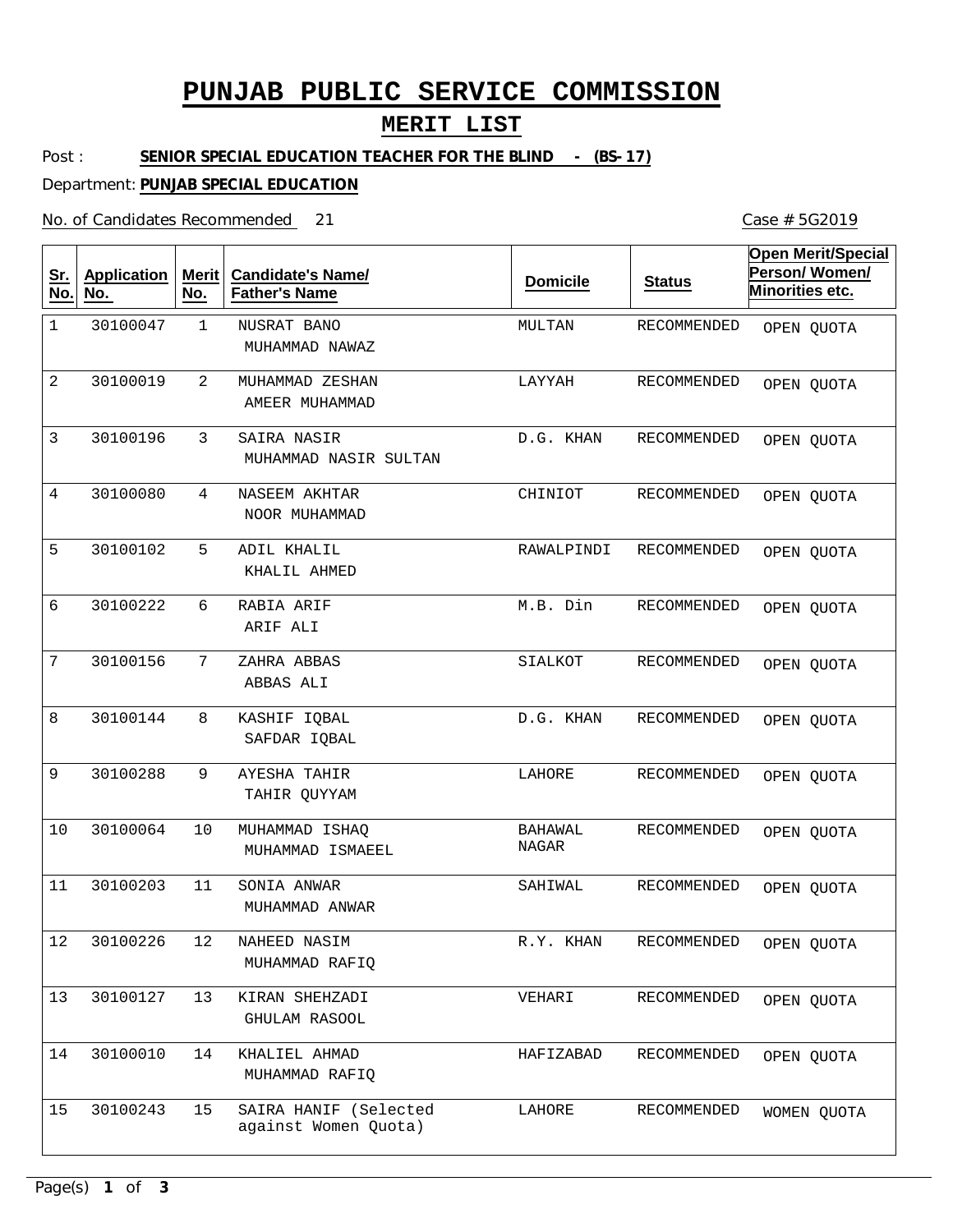# **PUNJAB PUBLIC SERVICE COMMISSION**

#### **MERIT LIST**

Post : **SENIOR SPECIAL EDUCATION TEACHER FOR THE BLIND - (BS-17)** 

Department: **PUNJAB SPECIAL EDUCATION**

No. of Candidates Recommended

| <u>Sr.</u><br>No. | <b>Application</b><br>No. | Merit<br>No.    | <b>Candidate's Name/</b><br><b>Father's Name</b> | <b>Domicile</b>                | <b>Status</b> | <b>Open Merit/Special</b><br>Person/Women/<br>Minorities etc. |
|-------------------|---------------------------|-----------------|--------------------------------------------------|--------------------------------|---------------|---------------------------------------------------------------|
| $\mathbf{1}$      | 30100047                  | $\mathbf 1$     | <b>NUSRAT BANO</b><br>MUHAMMAD NAWAZ             | MULTAN                         | RECOMMENDED   | OPEN QUOTA                                                    |
| 2                 | 30100019                  | 2               | MUHAMMAD ZESHAN<br>AMEER MUHAMMAD                | LAYYAH                         | RECOMMENDED   | OPEN QUOTA                                                    |
| 3                 | 30100196                  | 3               | SAIRA NASIR<br>MUHAMMAD NASIR SULTAN             | D.G. KHAN                      | RECOMMENDED   | OPEN QUOTA                                                    |
| 4                 | 30100080                  | 4               | NASEEM AKHTAR<br>NOOR MUHAMMAD                   | CHINIOT                        | RECOMMENDED   | OPEN QUOTA                                                    |
| 5                 | 30100102                  | 5               | ADIL KHALIL<br>KHALIL AHMED                      | RAWALPINDI                     | RECOMMENDED   | OPEN QUOTA                                                    |
| 6                 | 30100222                  | 6               | RABIA ARIF<br>ARIF ALI                           | M.B. Din                       | RECOMMENDED   | OPEN QUOTA                                                    |
| 7                 | 30100156                  | $7\phantom{.0}$ | ZAHRA ABBAS<br>ABBAS ALI                         | SIALKOT                        | RECOMMENDED   | OPEN QUOTA                                                    |
| 8                 | 30100144                  | 8               | KASHIF IQBAL<br>SAFDAR IOBAL                     | D.G. KHAN                      | RECOMMENDED   | OPEN QUOTA                                                    |
| 9                 | 30100288                  | 9               | AYESHA TAHIR<br>TAHIR QUYYAM                     | LAHORE                         | RECOMMENDED   | OPEN QUOTA                                                    |
| 10                | 30100064                  | 10              | MUHAMMAD ISHAQ<br>MUHAMMAD ISMAEEL               | <b>BAHAWAL</b><br><b>NAGAR</b> | RECOMMENDED   | OPEN QUOTA                                                    |
| 11                | 30100203                  | 11              | SONIA ANWAR<br>MUHAMMAD ANWAR                    | SAHIWAL                        | RECOMMENDED   | OPEN QUOTA                                                    |
| 12                | 30100226                  | 12              | NAHEED NASIM<br>MUHAMMAD RAFIQ                   | R.Y. KHAN                      | RECOMMENDED   | OPEN QUOTA                                                    |
| 13                | 30100127                  | 13              | KIRAN SHEHZADI<br>GHULAM RASOOL                  | VEHARI                         | RECOMMENDED   | OPEN QUOTA                                                    |
| 14                | 30100010                  | 14              | KHALIEL AHMAD<br>MUHAMMAD RAFIQ                  | HAFIZABAD                      | RECOMMENDED   | OPEN QUOTA                                                    |
| 15                | 30100243                  | 15              | SAIRA HANIF (Selected<br>against Women Quota)    | LAHORE                         | RECOMMENDED   | WOMEN QUOTA                                                   |

Case # 5G2019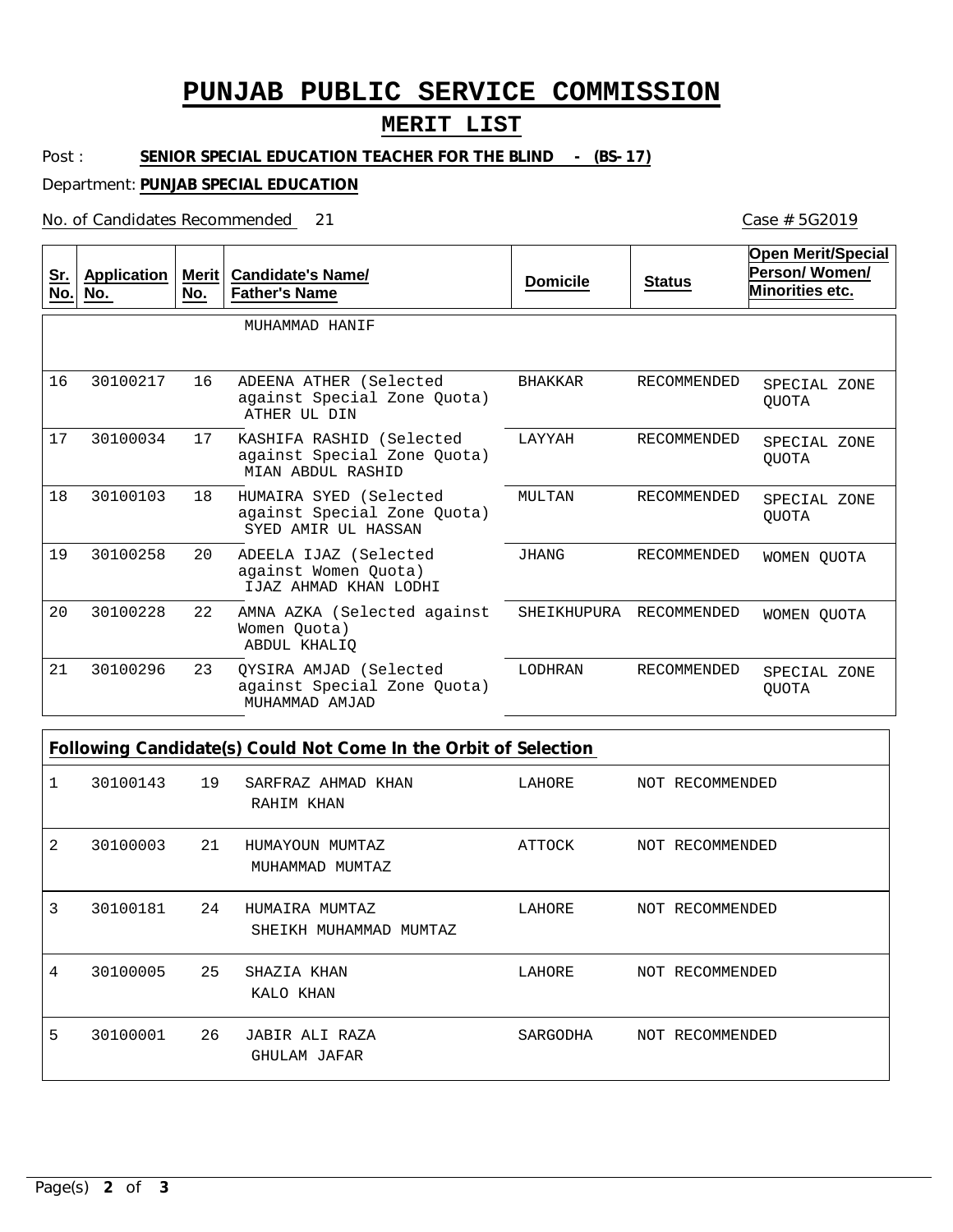## **PUNJAB PUBLIC SERVICE COMMISSION**

#### **MERIT LIST**

Post : SENIOR SPECIAL EDUCATION TEACHER FOR THE BLIND - (BS-17)

Department: **PUNJAB SPECIAL EDUCATION**

No. of Candidates Recommended

| <u>Sr.</u><br>No. | <b>Application</b><br>No. | Merit $ $<br>No. | <b>Candidate's Name/</b><br><b>Father's Name</b>                             | <b>Domicile</b> | <b>Status</b>      | <b>Open Merit/Special</b><br>Person/Women/<br>Minorities etc. |
|-------------------|---------------------------|------------------|------------------------------------------------------------------------------|-----------------|--------------------|---------------------------------------------------------------|
|                   |                           |                  | MUHAMMAD HANIF                                                               |                 |                    |                                                               |
| 16                | 30100217                  | 16               | ADEENA ATHER (Selected<br>against Special Zone Quota)<br>ATHER UL DIN        | BHAKKAR         | <b>RECOMMENDED</b> | SPECIAL ZONE<br><b>OUOTA</b>                                  |
| 17                | 30100034                  | 17               | KASHIFA RASHID (Selected<br>against Special Zone Quota)<br>MIAN ABDUL RASHID | LAYYAH          | RECOMMENDED        | SPECIAL ZONE<br><b>OUOTA</b>                                  |
| 18                | 30100103                  | 18               | HUMAIRA SYED (Selected<br>against Special Zone Quota)<br>SYED AMIR UL HASSAN | MULTAN          | RECOMMENDED        | SPECIAL ZONE<br><b>OUOTA</b>                                  |
| 19                | 30100258                  | 20               | ADEELA IJAZ (Selected<br>against Women Ouota)<br>IJAZ AHMAD KHAN LODHI       | <b>JHANG</b>    | <b>RECOMMENDED</b> | WOMEN OUOTA                                                   |
| 20                | 30100228                  | 22               | AMNA AZKA (Selected against<br>Women Ouota)<br>ABDUL KHALIO                  | SHEIKHUPURA     | RECOMMENDED        | WOMEN QUOTA                                                   |
| 21                | 30100296                  | 23               | OYSIRA AMJAD (Selected<br>against Special Zone Quota)<br>MUHAMMAD AMJAD      | LODHRAN         | RECOMMENDED        | SPECIAL ZONE<br><b>OUOTA</b>                                  |

**Following Candidate(s) Could Not Come In the Orbit of Selection**

| 1 | 30100143 | 19 | SARFRAZ AHMAD KHAN<br>RAHIM KHAN         | LAHORE   | NOT RECOMMENDED |
|---|----------|----|------------------------------------------|----------|-----------------|
| 2 | 30100003 | 21 | HUMAYOUN MUMTAZ<br>MUHAMMAD MUMTAZ       | ATTOCK   | NOT RECOMMENDED |
| 3 | 30100181 | 24 | HUMAIRA MUMTAZ<br>SHEIKH MUHAMMAD MUMTAZ | LAHORE   | NOT RECOMMENDED |
| 4 | 30100005 | 25 | SHAZIA KHAN<br>KALO KHAN                 | LAHORE   | NOT RECOMMENDED |
| 5 | 30100001 | 26 | JABIR ALI RAZA<br>GHULAM JAFAR           | SARGODHA | NOT RECOMMENDED |

21 Case # 5G2019